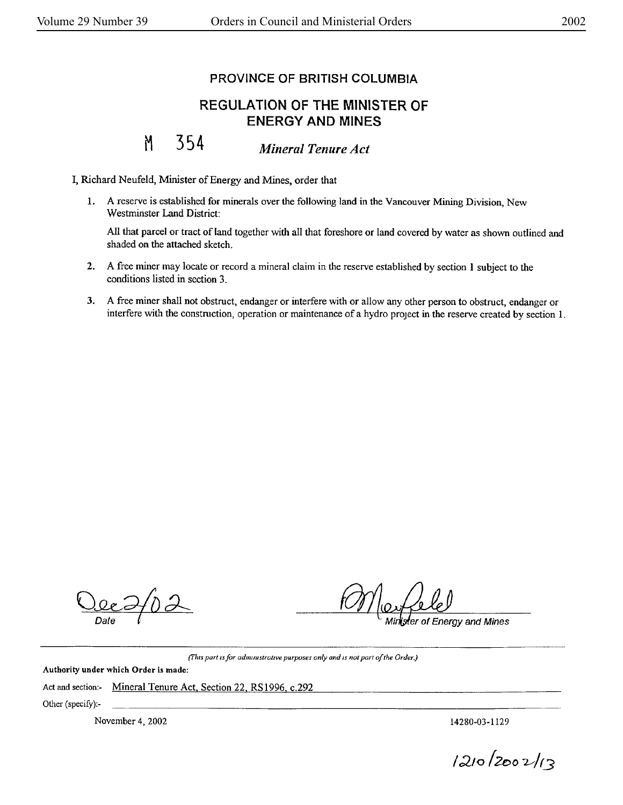## PROVINCE OF BRITISH COLUMBIA

## REGULATION OF THE MINISTER OF ENERGY **AND MINES**

## M 354 *Mineral Tenure Act*

I, Richard Neufeld, Minister of Energy and Mines, order that

1. A reserve is established for minerals over the following land in the Vancouver Mining Division, New Westminster Land District:

All that parcel or tract of land together with all that foreshore or land covered by water as shown outlined and shaded on the attached sketch.

- 2. A free miner may locate or record a mineral claim in the reserve established by section l subject to the conditions listed in section 3.
- 3. A free miner shall not obstruct, endanger or interfere with or allow any other person to obstruct, endanger or interfere with the construction, operation or maintenance of a hydro project in the reserve created by section 1.

fer of Energy and Mines

*(I'h,s part ufor adm1mstrat1ve purposes only and IS no/ part of the Order.)* 

**Authority under which Order is made:** 

Act and section:- Mineral Tenure Act, Section 22, RS 1996, c.292

Other (specify):-

November 4, 2002 14280-03-1129

 $1210/2002/13$